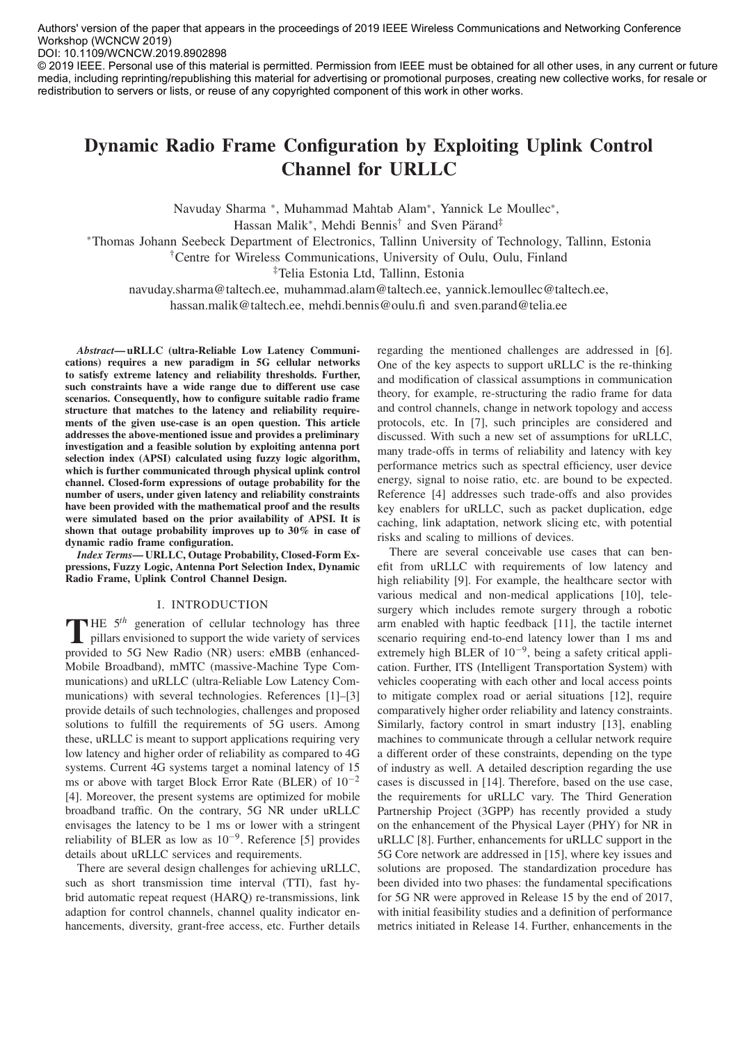Authors' version of the paper that appears in the proceedings of 2019 IEEE Wireless Communications and Networking Conference Workshop (WCNCW 2019)

DOI: 10.1109/WCNCW.2019.8902898

© 2019 IEEE. Personal use of this material is permitted. Permission from IEEE must be obtained for all other uses, in any current or future media, including reprinting/republishing this material for advertising or promotional purposes, creating new collective works, for resale or redistribution to servers or lists, or reuse of any copyrighted component of this work in other works.

# Dynamic Radio Frame Configuration by Exploiting Uplink Control Channel for URLLC

Navuday Sharma ∗, Muhammad Mahtab Alam∗, Yannick Le Moullec∗,

Hassan Malik<sup>∗</sup>, Mehdi Bennis<sup>†</sup> and Sven Pärand<sup>‡</sup>

∗Thomas Johann Seebeck Department of Electronics, Tallinn University of Technology, Tallinn, Estonia

†Centre for Wireless Communications, University of Oulu, Oulu, Finland

‡Telia Estonia Ltd, Tallinn, Estonia

navuday.sharma@taltech.ee, muhammad.alam@taltech.ee, yannick.lemoullec@taltech.ee,

hassan.malik@taltech.ee, mehdi.bennis@oulu.fi and sven.parand@telia.ee

Abstract— uRLLC (ultra-Reliable Low Latency Communications) requires a new paradigm in 5G cellular networks to satisfy extreme latency and reliability thresholds. Further, such constraints have a wide range due to different use case scenarios. Consequently, how to configure suitable radio frame structure that matches to the latency and reliability requirements of the given use-case is an open question. This article addresses the above-mentioned issue and provides a preliminary investigation and a feasible solution by exploiting antenna port selection index (APSI) calculated using fuzzy logic algorithm, which is further communicated through physical uplink control channel. Closed-form expressions of outage probability for the number of users, under given latency and reliability constraints have been provided with the mathematical proof and the results were simulated based on the prior availability of APSI. It is shown that outage probability improves up to 30% in case of dynamic radio frame configuration.

Index Terms— URLLC, Outage Probability, Closed-Form Expressions, Fuzzy Logic, Antenna Port Selection Index, Dynamic Radio Frame, Uplink Control Channel Design.

# I. INTRODUCTION

THE  $5<sup>th</sup>$  generation of cellular technology has three pillars envisioned to support the wide variety of services provided to 5G New Radio (NR) users: eMBB (enhanced-Mobile Broadband), mMTC (massive-Machine Type Communications) and uRLLC (ultra-Reliable Low Latency Communications) with several technologies. References [1]–[3] provide details of such technologies, challenges and proposed solutions to fulfill the requirements of 5G users. Among these, uRLLC is meant to support applications requiring very low latency and higher order of reliability as compared to 4G systems. Current 4G systems target a nominal latency of 15 ms or above with target Block Error Rate (BLER) of  $10^{-2}$ [4]. Moreover, the present systems are optimized for mobile broadband traffic. On the contrary, 5G NR under uRLLC envisages the latency to be 1 ms or lower with a stringent reliability of BLER as low as 10−9. Reference [5] provides details about uRLLC services and requirements.

There are several design challenges for achieving uRLLC, such as short transmission time interval (TTI), fast hybrid automatic repeat request (HARQ) re-transmissions, link adaption for control channels, channel quality indicator enhancements, diversity, grant-free access, etc. Further details regarding the mentioned challenges are addressed in [6]. One of the key aspects to support uRLLC is the re-thinking and modification of classical assumptions in communication theory, for example, re-structuring the radio frame for data and control channels, change in network topology and access protocols, etc. In [7], such principles are considered and discussed. With such a new set of assumptions for uRLLC, many trade-offs in terms of reliability and latency with key performance metrics such as spectral efficiency, user device energy, signal to noise ratio, etc. are bound to be expected. Reference [4] addresses such trade-offs and also provides key enablers for uRLLC, such as packet duplication, edge caching, link adaptation, network slicing etc, with potential risks and scaling to millions of devices.

There are several conceivable use cases that can benefit from uRLLC with requirements of low latency and high reliability [9]. For example, the healthcare sector with various medical and non-medical applications [10], telesurgery which includes remote surgery through a robotic arm enabled with haptic feedback [11], the tactile internet scenario requiring end-to-end latency lower than 1 ms and extremely high BLER of 10−9, being a safety critical application. Further, ITS (Intelligent Transportation System) with vehicles cooperating with each other and local access points to mitigate complex road or aerial situations [12], require comparatively higher order reliability and latency constraints. Similarly, factory control in smart industry [13], enabling machines to communicate through a cellular network require a different order of these constraints, depending on the type of industry as well. A detailed description regarding the use cases is discussed in [14]. Therefore, based on the use case, the requirements for uRLLC vary. The Third Generation Partnership Project (3GPP) has recently provided a study on the enhancement of the Physical Layer (PHY) for NR in uRLLC [8]. Further, enhancements for uRLLC support in the 5G Core network are addressed in [15], where key issues and solutions are proposed. The standardization procedure has been divided into two phases: the fundamental specifications for 5G NR were approved in Release 15 by the end of 2017, with initial feasibility studies and a definition of performance metrics initiated in Release 14. Further, enhancements in the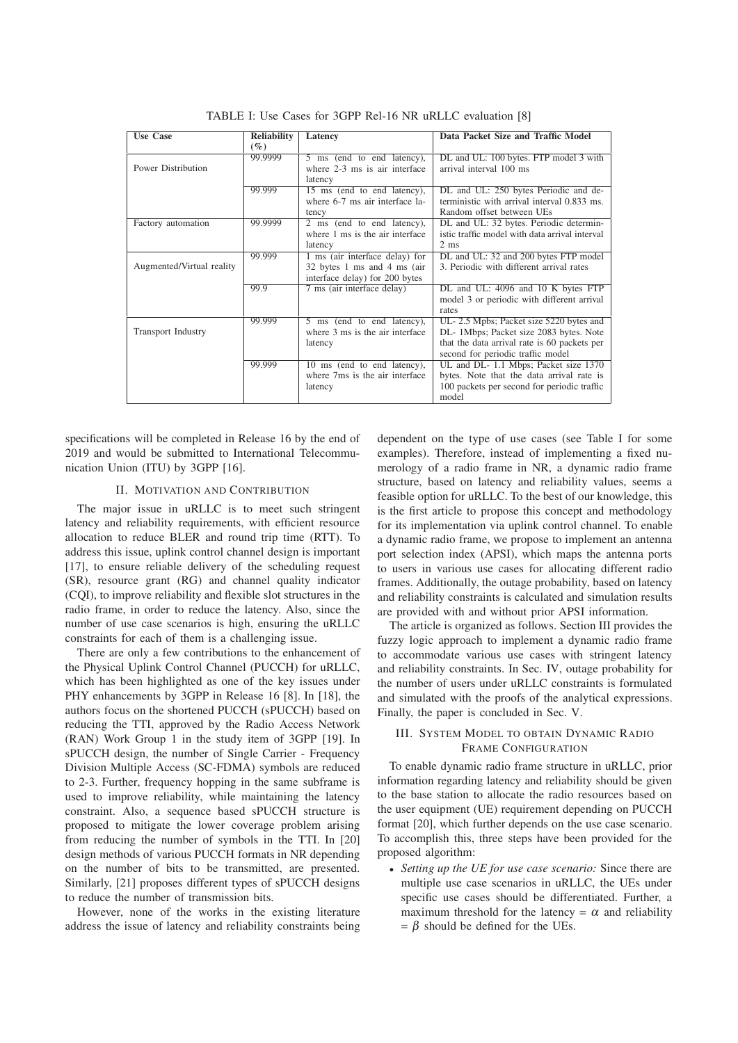| <b>Use Case</b>           | <b>Reliability</b> | Latency                         | Data Packet Size and Traffic Model             |
|---------------------------|--------------------|---------------------------------|------------------------------------------------|
|                           | $( \% )$           |                                 |                                                |
|                           | 99.9999            | 5 ms (end to end latency),      | DL and UL: 100 bytes. FTP model 3 with         |
| Power Distribution        |                    | where 2-3 ms is air interface   | arrival interval 100 ms                        |
|                           |                    | latency                         |                                                |
|                           | 99.999             | 15 ms (end to end latency),     | DL and UL: 250 bytes Periodic and de-          |
|                           |                    | where 6-7 ms air interface la-  | terministic with arrival interval 0.833 ms.    |
|                           |                    | tency                           | Random offset between UEs                      |
| Factory automation        | 99.9999            | 2 ms (end to end latency),      | DL and UL: 32 bytes. Periodic determin-        |
|                           |                    | where 1 ms is the air interface | istic traffic model with data arrival interval |
|                           |                    | latency                         | $2 \text{ ms}$                                 |
|                           | 99.999             | 1 ms (air interface delay) for  | DL and UL: 32 and 200 bytes FTP model          |
| Augmented/Virtual reality |                    | 32 bytes 1 ms and 4 ms (air     | 3. Periodic with different arrival rates       |
|                           |                    | interface delay) for 200 bytes  |                                                |
|                           | 99.9               | 7 ms (air interface delay)      | DL and UL: 4096 and 10 K bytes FTP             |
|                           |                    |                                 | model 3 or periodic with different arrival     |
|                           |                    |                                 | rates                                          |
|                           | 99.999             | 5 ms (end to end latency),      | UL-2.5 Mpbs; Packet size 5220 bytes and        |
| <b>Transport Industry</b> |                    | where 3 ms is the air interface | DL- 1Mbps; Packet size 2083 bytes. Note        |
|                           |                    | latency                         | that the data arrival rate is 60 packets per   |
|                           |                    |                                 | second for periodic traffic model              |
|                           | 99.999             | 10 ms (end to end latency),     | UL and DL-1.1 Mbps; Packet size 1370           |
|                           |                    | where 7ms is the air interface  | bytes. Note that the data arrival rate is      |
|                           |                    | latency                         | 100 packets per second for periodic traffic    |
|                           |                    |                                 | model                                          |

TABLE I: Use Cases for 3GPP Rel-16 NR uRLLC evaluation [8]

specifications will be completed in Release 16 by the end of 2019 and would be submitted to International Telecommunication Union (ITU) by 3GPP [16].

#### II. MOTIVATION AND CONTRIBUTION

The major issue in uRLLC is to meet such stringent latency and reliability requirements, with efficient resource allocation to reduce BLER and round trip time (RTT). To address this issue, uplink control channel design is important [17], to ensure reliable delivery of the scheduling request (SR), resource grant (RG) and channel quality indicator (CQI), to improve reliability and flexible slot structures in the radio frame, in order to reduce the latency. Also, since the number of use case scenarios is high, ensuring the uRLLC constraints for each of them is a challenging issue.

There are only a few contributions to the enhancement of the Physical Uplink Control Channel (PUCCH) for uRLLC, which has been highlighted as one of the key issues under PHY enhancements by 3GPP in Release 16 [8]. In [18], the authors focus on the shortened PUCCH (sPUCCH) based on reducing the TTI, approved by the Radio Access Network (RAN) Work Group 1 in the study item of 3GPP [19]. In sPUCCH design, the number of Single Carrier - Frequency Division Multiple Access (SC-FDMA) symbols are reduced to 2-3. Further, frequency hopping in the same subframe is used to improve reliability, while maintaining the latency constraint. Also, a sequence based sPUCCH structure is proposed to mitigate the lower coverage problem arising from reducing the number of symbols in the TTI. In [20] design methods of various PUCCH formats in NR depending on the number of bits to be transmitted, are presented. Similarly, [21] proposes different types of sPUCCH designs to reduce the number of transmission bits.

However, none of the works in the existing literature address the issue of latency and reliability constraints being dependent on the type of use cases (see Table I for some examples). Therefore, instead of implementing a fixed numerology of a radio frame in NR, a dynamic radio frame structure, based on latency and reliability values, seems a feasible option for uRLLC. To the best of our knowledge, this is the first article to propose this concept and methodology for its implementation via uplink control channel. To enable a dynamic radio frame, we propose to implement an antenna port selection index (APSI), which maps the antenna ports to users in various use cases for allocating different radio frames. Additionally, the outage probability, based on latency and reliability constraints is calculated and simulation results are provided with and without prior APSI information.

The article is organized as follows. Section III provides the fuzzy logic approach to implement a dynamic radio frame to accommodate various use cases with stringent latency and reliability constraints. In Sec. IV, outage probability for the number of users under uRLLC constraints is formulated and simulated with the proofs of the analytical expressions. Finally, the paper is concluded in Sec. V.

# III. SYSTEM MODEL TO OBTAIN DYNAMIC RADIO FRAME CONFIGURATION

To enable dynamic radio frame structure in uRLLC, prior information regarding latency and reliability should be given to the base station to allocate the radio resources based on the user equipment (UE) requirement depending on PUCCH format [20], which further depends on the use case scenario. To accomplish this, three steps have been provided for the proposed algorithm:

• Setting up the UE for use case scenario: Since there are multiple use case scenarios in uRLLC, the UEs under specific use cases should be differentiated. Further, a maximum threshold for the latency =  $\alpha$  and reliability  $= \beta$  should be defined for the UEs.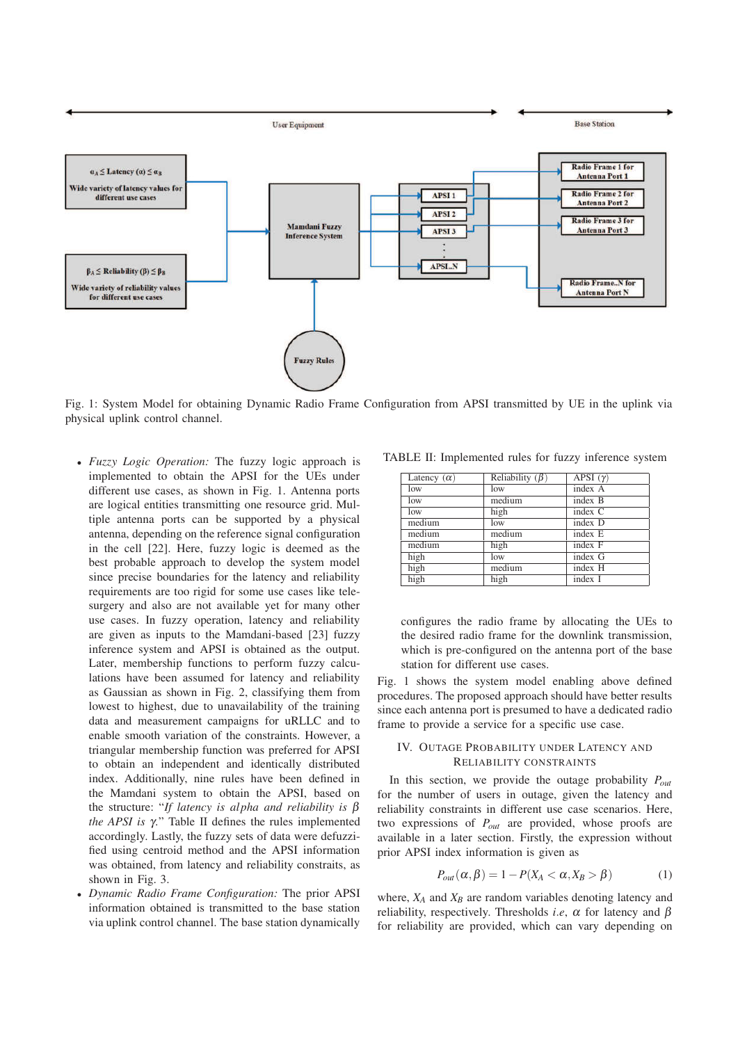

Fig. 1: System Model for obtaining Dynamic Radio Frame Configuration from APSI transmitted by UE in the uplink via physical uplink control channel.

- Fuzzy Logic Operation: The fuzzy logic approach is implemented to obtain the APSI for the UEs under different use cases, as shown in Fig. 1. Antenna ports are logical entities transmitting one resource grid. Multiple antenna ports can be supported by a physical antenna, depending on the reference signal configuration in the cell [22]. Here, fuzzy logic is deemed as the best probable approach to develop the system model since precise boundaries for the latency and reliability requirements are too rigid for some use cases like telesurgery and also are not available yet for many other use cases. In fuzzy operation, latency and reliability are given as inputs to the Mamdani-based [23] fuzzy inference system and APSI is obtained as the output. Later, membership functions to perform fuzzy calculations have been assumed for latency and reliability as Gaussian as shown in Fig. 2, classifying them from lowest to highest, due to unavailability of the training data and measurement campaigns for uRLLC and to enable smooth variation of the constraints. However, a triangular membership function was preferred for APSI to obtain an independent and identically distributed index. Additionally, nine rules have been defined in the Mamdani system to obtain the APSI, based on the structure: "If latency is alpha and reliability is  $\beta$ the APSI is  $\gamma$ ." Table II defines the rules implemented accordingly. Lastly, the fuzzy sets of data were defuzzified using centroid method and the APSI information was obtained, from latency and reliability constraits, as shown in Fig. 3.
- Dynamic Radio Frame Configuration: The prior APSI information obtained is transmitted to the base station via uplink control channel. The base station dynamically

TABLE II: Implemented rules for fuzzy inference system

| Latency $(\alpha)$ | Reliability $(\beta)$ | $\overline{APSI}(\gamma)$ |
|--------------------|-----------------------|---------------------------|
| low                | low                   | index A                   |
| low                | medium                | index B                   |
| low                | high                  | index C                   |
| medium             | low                   | index D                   |
| medium             | medium                | index E                   |
| medium             | high                  | index F                   |
| high               | low                   | index G                   |
| high               | medium                | index H                   |
| high               | high                  | index I                   |

configures the radio frame by allocating the UEs to the desired radio frame for the downlink transmission, which is pre-configured on the antenna port of the base station for different use cases.

Fig. 1 shows the system model enabling above defined procedures. The proposed approach should have better results since each antenna port is presumed to have a dedicated radio frame to provide a service for a specific use case.

### IV. OUTAGE PROBABILITY UNDER LATENCY AND RELIABILITY CONSTRAINTS

In this section, we provide the outage probability  $P_{out}$ for the number of users in outage, given the latency and reliability constraints in different use case scenarios. Here, two expressions of  $P_{out}$  are provided, whose proofs are available in a later section. Firstly, the expression without prior APSI index information is given as

$$
P_{out}(\alpha, \beta) = 1 - P(X_A < \alpha, X_B > \beta) \tag{1}
$$

where,  $X_A$  and  $X_B$  are random variables denoting latency and reliability, respectively. Thresholds *i.e.*,  $\alpha$  for latency and  $\beta$ for reliability are provided, which can vary depending on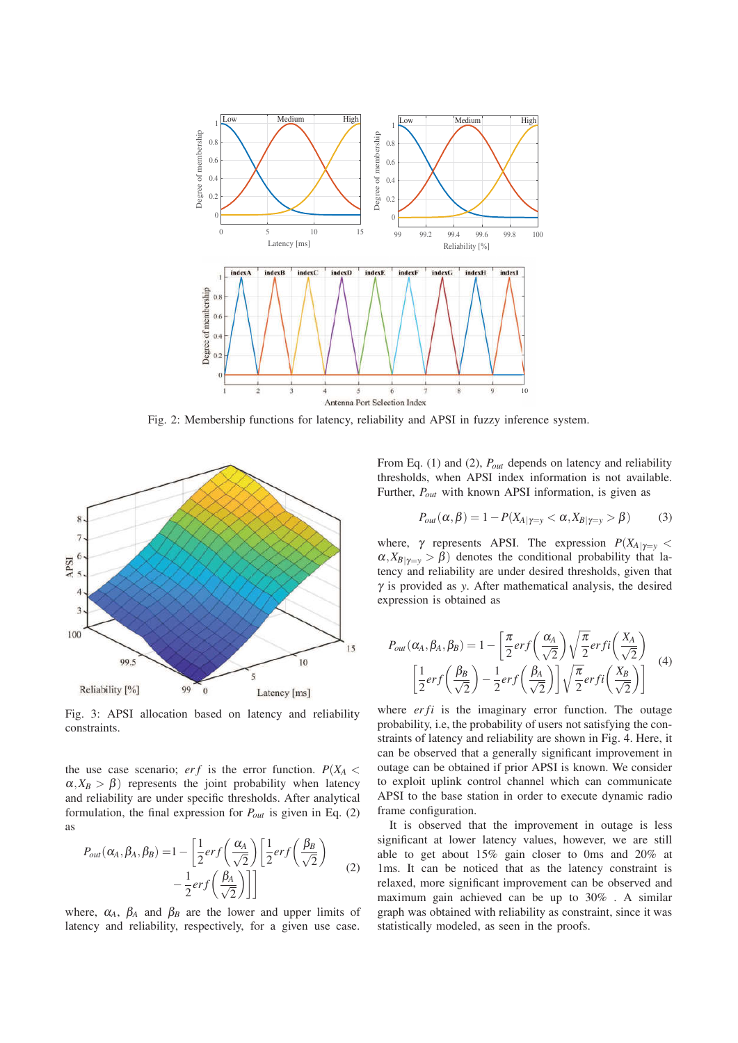

Fig. 2: Membership functions for latency, reliability and APSI in fuzzy inference system.



Fig. 3: APSI allocation based on latency and reliability constraints.

the use case scenario;  $erf$  is the error function.  $P(X_A \leq$  $\alpha$ ,  $X_B > \beta$ ) represents the joint probability when latency and reliability are under specific thresholds. After analytical formulation, the final expression for  $P_{out}$  is given in Eq. (2) as

$$
P_{out}(\alpha_A, \beta_A, \beta_B) = 1 - \left[\frac{1}{2}erf\left(\frac{\alpha_A}{\sqrt{2}}\right)\left[\frac{1}{2}erf\left(\frac{\beta_B}{\sqrt{2}}\right) - \frac{1}{2}erf\left(\frac{\beta_A}{\sqrt{2}}\right)\right]\right]
$$
(2)

where,  $\alpha_A$ ,  $\beta_A$  and  $\beta_B$  are the lower and upper limits of latency and reliability, respectively, for a given use case.

From Eq. (1) and (2),  $P_{out}$  depends on latency and reliability thresholds, when APSI index information is not available. Further,  $P_{out}$  with known APSI information, is given as

$$
P_{out}(\alpha, \beta) = 1 - P(X_{A|\gamma = y} < \alpha, X_{B|\gamma = y} > \beta) \tag{3}
$$

where,  $\gamma$  represents APSI. The expression  $P(X_{A|\gamma=y}$  <  $\alpha$ ,  $X_{B|\gamma=\gamma} > \beta$ ) denotes the conditional probability that latency and reliability are under desired thresholds, given that  $\gamma$  is provided as y. After mathematical analysis, the desired expression is obtained as

$$
P_{out}(\alpha_A, \beta_A, \beta_B) = 1 - \left[\frac{\pi}{2} erf\left(\frac{\alpha_A}{\sqrt{2}}\right) \sqrt{\frac{\pi}{2}} erf\left(\frac{X_A}{\sqrt{2}}\right) \right]
$$
  

$$
\left[\frac{1}{2} erf\left(\frac{\beta_B}{\sqrt{2}}\right) - \frac{1}{2} erf\left(\frac{\beta_A}{\sqrt{2}}\right)\right] \sqrt{\frac{\pi}{2}} erf\left(\frac{X_B}{\sqrt{2}}\right)
$$
 (4)

where  $erfi$  is the imaginary error function. The outage probability, i.e, the probability of users not satisfying the constraints of latency and reliability are shown in Fig. 4. Here, it can be observed that a generally significant improvement in outage can be obtained if prior APSI is known. We consider to exploit uplink control channel which can communicate APSI to the base station in order to execute dynamic radio frame configuration.

It is observed that the improvement in outage is less significant at lower latency values, however, we are still able to get about 15% gain closer to 0ms and 20% at 1ms. It can be noticed that as the latency constraint is relaxed, more significant improvement can be observed and maximum gain achieved can be up to 30% . A similar graph was obtained with reliability as constraint, since it was statistically modeled, as seen in the proofs.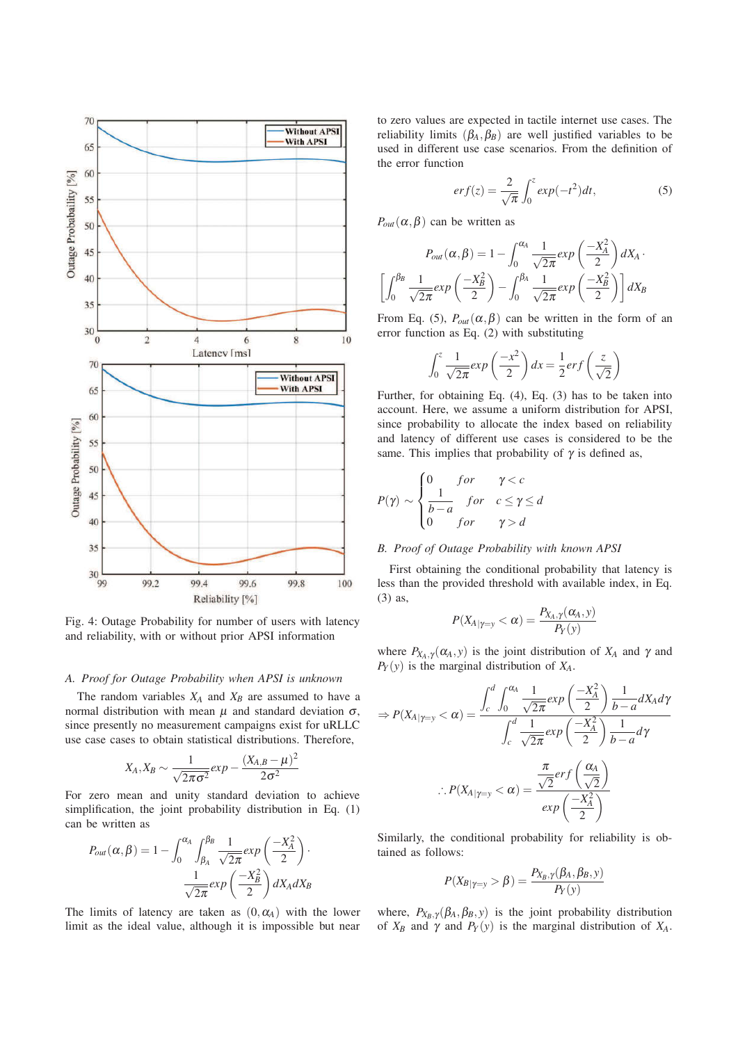

Fig. 4: Outage Probability for number of users with latency and reliability, with or without prior APSI information

### A. Proof for Outage Probability when APSI is unknown

The random variables  $X_A$  and  $X_B$  are assumed to have a normal distribution with mean  $\mu$  and standard deviation  $\sigma$ , since presently no measurement campaigns exist for uRLLC use case cases to obtain statistical distributions. Therefore,

$$
X_A, X_B \sim \frac{1}{\sqrt{2\pi\sigma^2}} exp - \frac{(X_{A,B} - \mu)^2}{2\sigma^2}
$$

For zero mean and unity standard deviation to achieve simplification, the joint probability distribution in Eq. (1) can be written as

$$
P_{out}(\alpha, \beta) = 1 - \int_0^{\alpha_A} \int_{\beta_A}^{\beta_B} \frac{1}{\sqrt{2\pi}} exp\left(\frac{-X_A^2}{2}\right) \cdot \frac{1}{\sqrt{2\pi}} exp\left(\frac{-X_B^2}{2}\right) dX_A dX_B
$$

The limits of latency are taken as  $(0, \alpha_A)$  with the lower limit as the ideal value, although it is impossible but near to zero values are expected in tactile internet use cases. The reliability limits  $(\beta_A, \beta_B)$  are well justified variables to be used in different use case scenarios. From the definition of the error function

$$
erf(z) = \frac{2}{\sqrt{\pi}} \int_0^z exp(-t^2) dt,
$$
\n(5)

 $P_{out}(\alpha, \beta)$  can be written as

$$
P_{out}(\alpha, \beta) = 1 - \int_0^{\alpha_A} \frac{1}{\sqrt{2\pi}} exp\left(\frac{-X_A^2}{2}\right) dX_A.
$$

$$
\left[\int_0^{\beta_B} \frac{1}{\sqrt{2\pi}} exp\left(\frac{-X_B^2}{2}\right) - \int_0^{\beta_A} \frac{1}{\sqrt{2\pi}} exp\left(\frac{-X_B^2}{2}\right) \right] dX_B
$$

From Eq. (5),  $P_{out}(\alpha, \beta)$  can be written in the form of an error function as Eq. (2) with substituting

$$
\int_0^z \frac{1}{\sqrt{2\pi}} \exp\left(\frac{-x^2}{2}\right) dx = \frac{1}{2} erf\left(\frac{z}{\sqrt{2}}\right)
$$

Further, for obtaining Eq. (4), Eq. (3) has to be taken into account. Here, we assume a uniform distribution for APSI, since probability to allocate the index based on reliability and latency of different use cases is considered to be the same. This implies that probability of  $\gamma$  is defined as,

$$
P(\gamma) \sim \begin{cases} 0 & \text{for} & \gamma < c \\ \frac{1}{b-a} & \text{for} & c \le \gamma \le d \\ 0 & \text{for} & \gamma > d \end{cases}
$$

#### B. Proof of Outage Probability with known APSI

First obtaining the conditional probability that latency is less than the provided threshold with available index, in Eq. (3) as,

$$
P(X_{A|{\gamma}=\mathrm{y}}<\alpha)=\frac{P_{X_A,\gamma}(\alpha_A,\mathrm{y})}{P_Y(\mathrm{y})}
$$

where  $P_{X_A, \gamma}(\alpha_A, y)$  is the joint distribution of  $X_A$  and  $\gamma$  and  $P_Y(y)$  is the marginal distribution of  $X_A$ .

$$
\Rightarrow P(X_{A|\gamma=y} < \alpha) = \frac{\int_{c}^{d} \int_{0}^{\alpha_{A}} \frac{1}{\sqrt{2\pi}} exp\left(\frac{-X_{A}^{2}}{2}\right) \frac{1}{b-a} dX_{A} d\gamma}{\int_{c}^{d} \frac{1}{\sqrt{2\pi}} exp\left(\frac{-X_{A}^{2}}{2}\right) \frac{1}{b-a} d\gamma}
$$
\n
$$
\therefore P(X_{A|\gamma=y} < \alpha) = \frac{\frac{\pi}{\sqrt{2}} erf\left(\frac{\alpha_{A}}{\sqrt{2}}\right)}{exp\left(\frac{-X_{A}^{2}}{2}\right)}
$$

Similarly, the conditional probability for reliability is obtained as follows:

$$
P(X_{B|Y=y} > \beta) = \frac{P_{X_B,\gamma}(\beta_A, \beta_B, y)}{P_Y(y)}
$$

where,  $P_{X_B, \gamma}(\beta_A, \beta_B, y)$  is the joint probability distribution of  $X_B$  and  $\gamma$  and  $P_Y(y)$  is the marginal distribution of  $X_A$ .